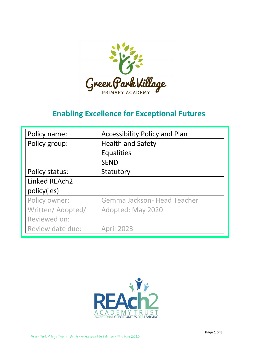

# **Enabling Excellence for Exceptional Futures**

| Policy name:     | <b>Accessibility Policy and Plan</b> |
|------------------|--------------------------------------|
| Policy group:    | <b>Health and Safety</b>             |
|                  | <b>Equalities</b>                    |
|                  | <b>SEND</b>                          |
| Policy status:   | Statutory                            |
| Linked REAch2    |                                      |
| policy(ies)      |                                      |
| Policy owner:    | Gemma Jackson- Head Teacher          |
| Written/Adopted/ | Adopted: May 2020                    |
| Reviewed on:     |                                      |
| Review date due: | <b>April 2023</b>                    |

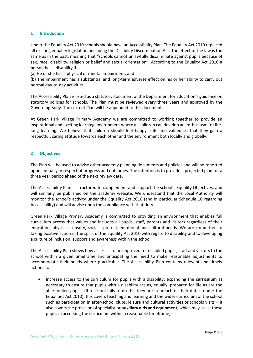#### **1 Introduction**

Under the Equality Act 2010 schools should have an Accessibility Plan. The Equality Act 2010 replaced all existing equality legislation, including the Disability Discrimination Act. The effect of the law is the same as in the past, meaning that "schools cannot unlawfully discriminate against pupils because of sex, race, disability, religion or belief and sexual orientation". According to the Equality Act 2010 a person has a disability if:

(a) He or she has a physical or mental impairment, and

(b) The impairment has a substantial and long-term adverse effect on his or her ability to carry out normal day-to-day activities.

The Accessibility Plan is listed as a statutory document of the Department for Education's guidance on statutory policies for schools. The Plan must be reviewed every three years and approved by the Governing Body. The current Plan will be appended to this document.

At Green Park Village Primary Academy we are committed to working together to provide an inspirational and exciting learning environment where all children can develop an enthusiasm for lifelong learning. We believe that children should feel happy, safe and valued so that they gain a respectful, caring attitude towards each other and the environment both locally and globally.

# **2 Objectives**

The Plan will be used to advise other academy planning documents and policies and will be reported upon annually in respect of progress and outcomes. The intention is to provide a projected plan for a three year period ahead of the next review date.

The Accessibility Plan is structured to complement and support the school's Equality Objectives, and will similarly be published on the academy website. We understand that the Local Authority will monitor the school's activity under the Equality Act 2010 (and in particular Schedule 10 regarding Accessibility) and will advise upon the compliance with that duty.

Green Park Village Primary Academy is committed to providing an environment that enables full curriculum access that values and includes all pupils, staff, parents and visitors regardless of their education, physical, sensory, social, spiritual, emotional and cultural needs. We are committed to taking positive action in the spirit of the Equality Act 2010 with regard to disability and to developing a culture of inclusion, support and awareness within the school.

The Accessibility Plan shows how access is to be improved for disabled pupils, staff and visitors to the school within a given timeframe and anticipating the need to make reasonable adjustments to accommodate their needs where practicable. The Accessibility Plan contains relevant and timely actions to:

 Increase access to the curriculum for pupils with a disability, expanding the **curriculum** as necessary to ensure that pupils with a disability are as, equally, prepared for life as are the able-bodied pupils; (If a school fails to do this they are in breach of their duties under the Equalities Act 2010); this covers teaching and learning and the wider curriculum of the school such as participation in after-school clubs, leisure and cultural activities or schools visits – it also covers the provision of specialist or **auxiliary aids and equipment**, which may assist these pupils in accessing the curriculum within a reasonable timeframe;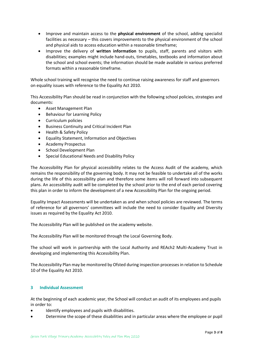- Improve and maintain access to the **physical environment** of the school, adding specialist facilities as necessary – this covers improvements to the physical environment of the school and physical aids to access education within a reasonable timeframe;
- Improve the delivery of **written information** to pupils, staff, parents and visitors with disabilities; examples might include hand-outs, timetables, textbooks and information about the school and school events; the information should be made available in various preferred formats within a reasonable timeframe.

Whole school training will recognise the need to continue raising awareness for staff and governors on equality issues with reference to the Equality Act 2010.

This Accessibility Plan should be read in conjunction with the following school policies, strategies and documents:

- Asset Management Plan
- Behaviour for Learning Policy
- Curriculum policies
- Business Continuity and Critical Incident Plan
- Health & Safety Policy
- Equality Statement, Information and Objectives
- Academy Prospectus
- School Development Plan
- Special Educational Needs and Disability Policy

The Accessibility Plan for physical accessibility relates to the Access Audit of the academy, which remains the responsibility of the governing body. It may not be feasible to undertake all of the works during the life of this accessibility plan and therefore some items will roll forward into subsequent plans. An accessibility audit will be completed by the school prior to the end of each period covering this plan in order to inform the development of a new Accessibility Plan for the ongoing period.

Equality Impact Assessments will be undertaken as and when school policies are reviewed. The terms of reference for all governors' committees will include the need to consider Equality and Diversity issues as required by the Equality Act 2010.

The Accessibility Plan will be published on the academy website.

The Accessibility Plan will be monitored through the Local Governing Body.

The school will work in partnership with the Local Authority and REAch2 Multi-Academy Trust in developing and implementing this Accessibility Plan.

The Accessibility Plan may be monitored by Ofsted during inspection processes in relation to Schedule 10 of the Equality Act 2010.

# **3 Individual Assessment**

At the beginning of each academic year, the School will conduct an audit of its employees and pupils in order to:

- Identify employees and pupils with disabilities.
- Determine the scope of these disabilities and in particular areas where the employee or pupil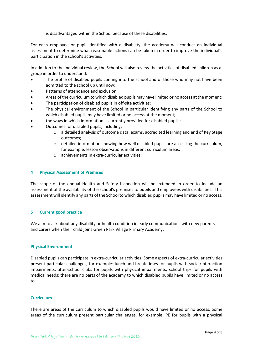is disadvantaged within the School because of these disabilities.

For each employee or pupil identified with a disability, the academy will conduct an individual assessment to determine what reasonable actions can be taken in order to improve the individual's participation in the school's activities.

In addition to the individual review, the School will also review the activities of disabled children as a group in order to understand:

- The profile of disabled pupils coming into the school and of those who may not have been admitted to the school up until now;
- Patterns of attendance and exclusion;
- Areas of the curriculum to which disabled pupils may have limited or no access at the moment;
- The participation of disabled pupils in off-site activities;
- The physical environment of the School in particular identifying any parts of the School to which disabled pupils may have limited or no access at the moment;
- the ways in which information is currently provided for disabled pupils;
- Outcomes for disabled pupils, including:
	- o a detailed analysis of outcome data: exams, accredited learning and end of Key Stage outcomes;
	- $\circ$  detailed information showing how well disabled pupils are accessing the curriculum, for example: lesson observations in different curriculum areas;
	- o achievements in extra-curricular activities;

#### **4 Physical Assessment of Premises**

The scope of the annual Health and Safety Inspection will be extended in order to include an assessment of the availability of the school's premises to pupils and employees with disabilities. This assessment will identify any parts of the School to which disabled pupils may have limited or no access.

# **5 Current good practice**

We aim to ask about any disability or health condition in early communications with new parents and carers when their child joins Green Park Village Primary Academy.

# **Physical Environment**

Disabled pupils can participate in extra-curricular activities. Some aspects of extra-curricular activities present particular challenges, for example: lunch and break times for pupils with social/interaction impairments, after-school clubs for pupils with physical impairments, school trips for pupils with medical needs; there are no parts of the academy to which disabled pupils have limited or no access to.

# **Curriculum**

There are areas of the curriculum to which disabled pupils would have limited or no access. Some areas of the curriculum present particular challenges, for example: PE for pupils with a physical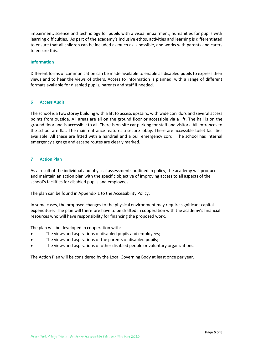impairment, science and technology for pupils with a visual impairment, humanities for pupils with learning difficulties. As part of the academy's inclusive ethos, activities and learning is differentiated to ensure that all children can be included as much as is possible, and works with parents and carers to ensure this.

#### **Information**

Different forms of communication can be made available to enable all disabled pupils to express their views and to hear the views of others. Access to information is planned, with a range of different formats available for disabled pupils, parents and staff if needed.

#### **6 Access Audit**

The school is a two storey building with a lift to access upstairs, with wide corridors and several access points from outside. All areas are all on the ground floor or accessible via a lift. The hall is on the ground floor and is accessible to all. There is on-site car parking for staff and visitors. All entrances to the school are flat. The main entrance features a secure lobby. There are accessible toilet facilities available. All these are fitted with a handrail and a pull emergency cord. The school has internal emergency signage and escape routes are clearly marked.

# **7 Action Plan**

As a result of the individual and physical assessments outlined in policy, the academy will produce and maintain an action plan with the specific objective of improving access to all aspects of the school's facilities for disabled pupils and employees.

The plan can be found in Appendix 1 to the Accessibility Policy.

In some cases, the proposed changes to the physical environment may require significant capital expenditure. The plan will therefore have to be drafted in cooperation with the academy's financial resources who will have responsibility for financing the proposed work.

The plan will be developed in cooperation with:

- The views and aspirations of disabled pupils and employees;
- The views and aspirations of the parents of disabled pupils;
- The views and aspirations of other disabled people or voluntary organizations.

The Action Plan will be considered by the Local Governing Body at least once per year.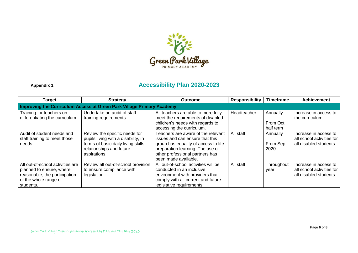

# **Appendix 1 Accessibility Plan 2020-2023**

| <b>Target</b>                                                                                                                       | <b>Strategy</b>                                                                                                                                         | <b>Outcome</b>                                                                                                                                                                                               | <b>Responsibility</b> | <b>Timeframe</b>                  | <b>Achievement</b>                                                          |
|-------------------------------------------------------------------------------------------------------------------------------------|---------------------------------------------------------------------------------------------------------------------------------------------------------|--------------------------------------------------------------------------------------------------------------------------------------------------------------------------------------------------------------|-----------------------|-----------------------------------|-----------------------------------------------------------------------------|
| Improving the Curriculum Access at Green Park Village Primary Academy                                                               |                                                                                                                                                         |                                                                                                                                                                                                              |                       |                                   |                                                                             |
| Training for teachers on<br>differentiating the curriculum.                                                                         | Undertake an audit of staff<br>training requirements.                                                                                                   | All teachers are able to more fully<br>meet the requirements of disabled<br>children's needs with regards to<br>accessing the curriculum.                                                                    | Headteacher           | Annually<br>From Oct<br>half term | Increase in access to<br>the curriculum                                     |
| Audit of student needs and<br>staff training to meet those<br>needs.                                                                | Review the specific needs for<br>pupils living with a disability, in<br>terms of basic daily living skills,<br>relationships and future<br>aspirations. | Teachers are aware of the relevant<br>issues and can ensure that this<br>group has equality of access to life<br>preparation learning. The use of<br>other professional partners has<br>been made available. | All staff             | Annually<br>From Sep<br>2020      | Increase in access to<br>all school activities for<br>all disabled students |
| All out-of-school activities are<br>planned to ensure, where<br>reasonable, the participation<br>of the whole range of<br>students. | Review all out-of-school provision<br>to ensure compliance with<br>legislation.                                                                         | All out-of-school activities will be<br>conducted in an inclusive<br>environment with providers that<br>comply with all current and future<br>legislative requirements.                                      | All staff             | Throughout<br>year                | Increase in access to<br>all school activities for<br>all disabled students |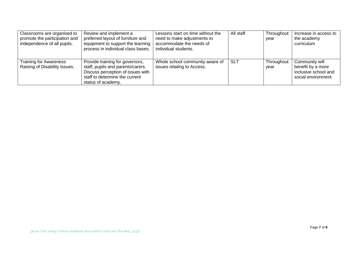| Classrooms are organised to<br>promote the participation and<br>independence of all pupils. | Review and implement a<br>preferred layout of furniture and<br>equipment to support the learning<br>process in individual class bases.                            | Lessons start on time without the<br>need to make adjustments to<br>accommodate the needs of<br>individual students. | All staff  | Throughout<br>year | Increase in access to<br>the academy<br>curriculum                                |
|---------------------------------------------------------------------------------------------|-------------------------------------------------------------------------------------------------------------------------------------------------------------------|----------------------------------------------------------------------------------------------------------------------|------------|--------------------|-----------------------------------------------------------------------------------|
| <b>Training for Awareness</b><br>Raising of Disability Issues.                              | Provide training for governors,<br>staff, pupils and parents/carers.<br>Discuss perception of issues with<br>staff to determine the current<br>status of academy. | Whole school community aware of<br>issues relating to Access.                                                        | <b>SLT</b> | Throughout<br>year | Community will<br>benefit by a more<br>inclusive school and<br>social environment |